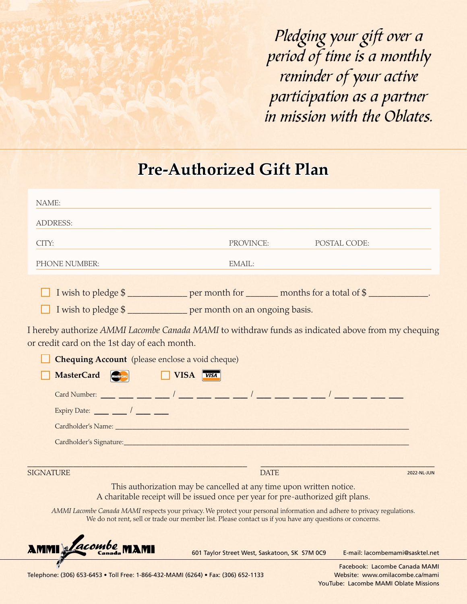*Pledging your gift over a period of time is a monthly reminder of your active participation as a partner in mission with the Oblates.*

## **Pre-Authorized Gift Plan**

| NAME:                                                                                                                                                                                                                                                                                                                                                                                                                                                                                                                                                                                                                                                                                |                                               |                                 |             |
|--------------------------------------------------------------------------------------------------------------------------------------------------------------------------------------------------------------------------------------------------------------------------------------------------------------------------------------------------------------------------------------------------------------------------------------------------------------------------------------------------------------------------------------------------------------------------------------------------------------------------------------------------------------------------------------|-----------------------------------------------|---------------------------------|-------------|
| ADDRESS:                                                                                                                                                                                                                                                                                                                                                                                                                                                                                                                                                                                                                                                                             |                                               |                                 |             |
| CITY:                                                                                                                                                                                                                                                                                                                                                                                                                                                                                                                                                                                                                                                                                | PROVINCE:                                     | POSTAL CODE:                    |             |
| PHONE NUMBER:                                                                                                                                                                                                                                                                                                                                                                                                                                                                                                                                                                                                                                                                        | EMAIL:                                        |                                 |             |
| I wish to pledge \$<br>I wish to pledge \$<br>I hereby authorize AMMI Lacombe Canada MAMI to withdraw funds as indicated above from my chequing<br>or credit card on the 1st day of each month.<br>Chequing Account (please enclose a void cheque)<br>MasterCard <b>Containers</b><br>VISA <i>VISA</i><br>Card Number: ____ ___ ___ ___ / ____ ___ ___ / ____ ___ / ____ ___ / ____ ___ / ____ ____ ___<br>Expiry Date: $\frac{1}{\sqrt{2\pi}}$ / $\frac{1}{\sqrt{2\pi}}$<br>Cardholder's Name: Name: Name: Name: Name: Name: Name: Name: Name: Name: Name: Name: Name: Name: Name: Name: N<br>Cardholder's Signature: Manual Cardholder's Signature: Manual Cardholder's Signature: |                                               |                                 |             |
| <b>SIGNATURE</b><br>This authorization may be cancelled at any time upon written notice.                                                                                                                                                                                                                                                                                                                                                                                                                                                                                                                                                                                             | <b>DATE</b>                                   |                                 | 2022-NL-JUN |
| A charitable receipt will be issued once per year for pre-authorized gift plans.                                                                                                                                                                                                                                                                                                                                                                                                                                                                                                                                                                                                     |                                               |                                 |             |
| AMMI Lacombe Canada MAMI respects your privacy. We protect your personal information and adhere to privacy regulations.<br>We do not rent, sell or trade our member list. Please contact us if you have any questions or concerns.                                                                                                                                                                                                                                                                                                                                                                                                                                                   |                                               |                                 |             |
| AMMI <i>Lacombe</i> MAMI                                                                                                                                                                                                                                                                                                                                                                                                                                                                                                                                                                                                                                                             | 601 Taylor Street West, Saskatoon, SK S7M 0C9 | E-mail: lacombemami@sasktel.net |             |

Telephone: (306) 653-6453 • Toll Free: 1-866-432-MAMI (6264) • Fax: (306) 652-1133 Website: www.omilacombe.ca/mami

P

 Facebook: Lacombe Canada MAMI YouTube: Lacombe MAMI Oblate Missions